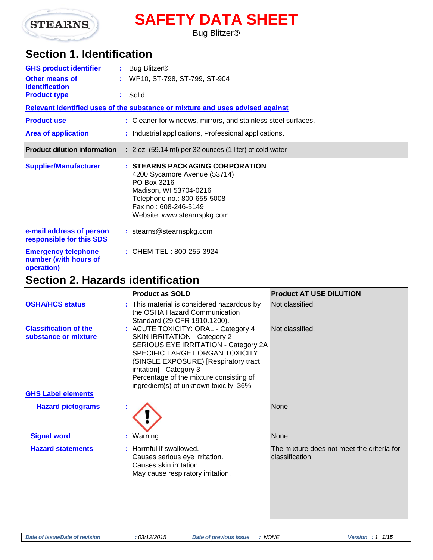

# **SAFETY DATA SHEET**

#### Bug Blitzer®

## **Section 1. Identification**

| <b>GHS product identifier</b>                                     | : Bug Blitzer <sup>®</sup>                                                                                                                                                                      |
|-------------------------------------------------------------------|-------------------------------------------------------------------------------------------------------------------------------------------------------------------------------------------------|
| <b>Other means of</b><br>identification                           | : WP10, ST-798, ST-799, ST-904                                                                                                                                                                  |
| <b>Product type</b>                                               | : Solid.                                                                                                                                                                                        |
|                                                                   | Relevant identified uses of the substance or mixture and uses advised against                                                                                                                   |
| <b>Product use</b>                                                | : Cleaner for windows, mirrors, and stainless steel surfaces.                                                                                                                                   |
| <b>Area of application</b>                                        | : Industrial applications, Professional applications.                                                                                                                                           |
| <b>Product dilution information</b>                               | $: 2$ oz. (59.14 ml) per 32 ounces (1 liter) of cold water                                                                                                                                      |
| <b>Supplier/Manufacturer</b>                                      | : STEARNS PACKAGING CORPORATION<br>4200 Sycamore Avenue (53714)<br>PO Box 3216<br>Madison, WI 53704-0216<br>Telephone no.: 800-655-5008<br>Fax no.: 608-246-5149<br>Website: www.stearnspkg.com |
| e-mail address of person<br>responsible for this SDS              | : stearns@stearnspkg.com                                                                                                                                                                        |
| <b>Emergency telephone</b><br>number (with hours of<br>operation) | : CHEM-TEL: 800-255-3924                                                                                                                                                                        |

# **Section 2. Hazards identification**

|                                                      | <b>Product as SOLD</b>                                                                                                                                                                                                                                                                                        | <b>Product AT USE DILUTION</b>                                |
|------------------------------------------------------|---------------------------------------------------------------------------------------------------------------------------------------------------------------------------------------------------------------------------------------------------------------------------------------------------------------|---------------------------------------------------------------|
| <b>OSHA/HCS status</b>                               | : This material is considered hazardous by<br>the OSHA Hazard Communication<br>Standard (29 CFR 1910.1200).                                                                                                                                                                                                   | Not classified.                                               |
| <b>Classification of the</b><br>substance or mixture | : ACUTE TOXICITY: ORAL - Category 4<br><b>SKIN IRRITATION - Category 2</b><br>SERIOUS EYE IRRITATION - Category 2A<br>SPECIFIC TARGET ORGAN TOXICITY<br>(SINGLE EXPOSURE) [Respiratory tract<br>irritation] - Category 3<br>Percentage of the mixture consisting of<br>ingredient(s) of unknown toxicity: 36% | Not classified.                                               |
| <b>GHS Label elements</b>                            |                                                                                                                                                                                                                                                                                                               |                                                               |
| <b>Hazard pictograms</b>                             |                                                                                                                                                                                                                                                                                                               | None                                                          |
| <b>Signal word</b>                                   | : Warning                                                                                                                                                                                                                                                                                                     | None                                                          |
| <b>Hazard statements</b>                             | : Harmful if swallowed.<br>Causes serious eye irritation.<br>Causes skin irritation.<br>May cause respiratory irritation.                                                                                                                                                                                     | The mixture does not meet the criteria for<br>classification. |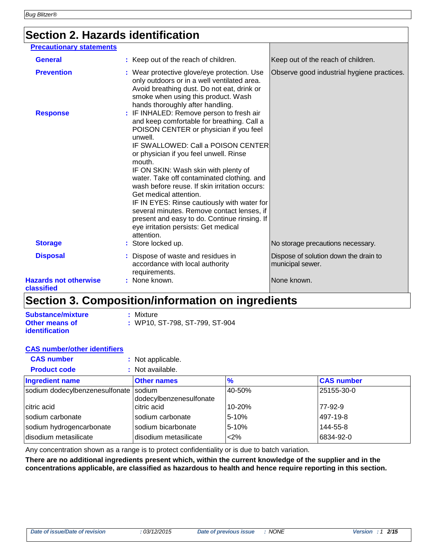### **Section 2. Hazards identification**

| <b>Precautionary statements</b>            |                                                                                                                                                                                                                                                                                                                                                                                                                                                            |                                                           |
|--------------------------------------------|------------------------------------------------------------------------------------------------------------------------------------------------------------------------------------------------------------------------------------------------------------------------------------------------------------------------------------------------------------------------------------------------------------------------------------------------------------|-----------------------------------------------------------|
| <b>General</b>                             | : Keep out of the reach of children.                                                                                                                                                                                                                                                                                                                                                                                                                       | Keep out of the reach of children.                        |
|                                            |                                                                                                                                                                                                                                                                                                                                                                                                                                                            |                                                           |
| <b>Prevention</b>                          | : Wear protective glove/eye protection. Use<br>only outdoors or in a well ventilated area.<br>Avoid breathing dust. Do not eat, drink or<br>smoke when using this product. Wash<br>hands thoroughly after handling.                                                                                                                                                                                                                                        | Observe good industrial hygiene practices.                |
| <b>Response</b>                            | : IF INHALED: Remove person to fresh air<br>and keep comfortable for breathing. Call a<br>POISON CENTER or physician if you feel<br>unwell.                                                                                                                                                                                                                                                                                                                |                                                           |
|                                            | IF SWALLOWED: Call a POISON CENTER<br>or physician if you feel unwell. Rinse<br>mouth.<br>IF ON SKIN: Wash skin with plenty of<br>water. Take off contaminated clothing. and<br>wash before reuse. If skin irritation occurs:<br>Get medical attention.<br>IF IN EYES: Rinse cautiously with water for<br>several minutes. Remove contact lenses, if<br>present and easy to do. Continue rinsing. If<br>eye irritation persists: Get medical<br>attention. |                                                           |
| <b>Storage</b>                             | : Store locked up.                                                                                                                                                                                                                                                                                                                                                                                                                                         | No storage precautions necessary.                         |
| <b>Disposal</b>                            | Dispose of waste and residues in<br>accordance with local authority<br>requirements.                                                                                                                                                                                                                                                                                                                                                                       | Dispose of solution down the drain to<br>municipal sewer. |
| <b>Hazards not otherwise</b><br>classified | : None known.                                                                                                                                                                                                                                                                                                                                                                                                                                              | None known.                                               |

### **Section 3. Composition/information on ingredients**

| <b>Substance/mixture</b> | : Mixture                      |
|--------------------------|--------------------------------|
| Other means of           | : WP10, ST-798, ST-799, ST-904 |
| <i>identification</i>    |                                |

#### **CAS number/other identifiers**

| <b>CAS number</b>                     | : Not applicable.       |               |                   |
|---------------------------------------|-------------------------|---------------|-------------------|
| <b>Product code</b>                   | : Not available.        |               |                   |
| <b>Ingredient name</b>                | <b>Other names</b>      | $\frac{9}{6}$ | <b>CAS number</b> |
| sodium dodecylbenzenesulfonate sodium | dodecylbenzenesulfonate | 40-50%        | 25155-30-0        |
| citric acid                           | citric acid             | 10-20%        | 77-92-9           |
| Isodium carbonate                     | sodium carbonate        | 5-10%         | 497-19-8          |
| sodium hydrogencarbonate              | sodium bicarbonate      | 5-10%         | 144-55-8          |
| disodium metasilicate                 | disodium metasilicate   | $2\%$         | 6834-92-0         |

Any concentration shown as a range is to protect confidentiality or is due to batch variation.

**There are no additional ingredients present which, within the current knowledge of the supplier and in the concentrations applicable, are classified as hazardous to health and hence require reporting in this section.**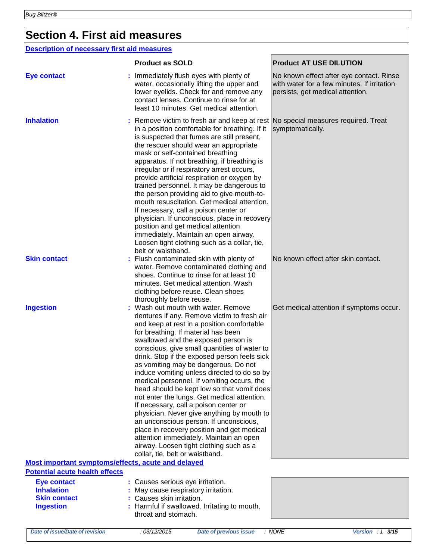### **Section 4. First aid measures**

#### **Description of necessary first aid measures**

|                                                                                             | <b>Product as SOLD</b>                                                                                                                                                                                                                                                                                                                                                                                                                                                                                                                                                                                                                                                                                                                                                                                                                                 | <b>Product AT USE DILUTION</b>                                                                                              |
|---------------------------------------------------------------------------------------------|--------------------------------------------------------------------------------------------------------------------------------------------------------------------------------------------------------------------------------------------------------------------------------------------------------------------------------------------------------------------------------------------------------------------------------------------------------------------------------------------------------------------------------------------------------------------------------------------------------------------------------------------------------------------------------------------------------------------------------------------------------------------------------------------------------------------------------------------------------|-----------------------------------------------------------------------------------------------------------------------------|
| <b>Eye contact</b>                                                                          | Immediately flush eyes with plenty of<br>water, occasionally lifting the upper and<br>lower eyelids. Check for and remove any<br>contact lenses. Continue to rinse for at<br>least 10 minutes. Get medical attention.                                                                                                                                                                                                                                                                                                                                                                                                                                                                                                                                                                                                                                  | No known effect after eye contact. Rinse<br>with water for a few minutes. If irritation<br>persists, get medical attention. |
| <b>Inhalation</b>                                                                           | : Remove victim to fresh air and keep at rest No special measures required. Treat<br>in a position comfortable for breathing. If it<br>is suspected that fumes are still present,<br>the rescuer should wear an appropriate<br>mask or self-contained breathing<br>apparatus. If not breathing, if breathing is<br>irregular or if respiratory arrest occurs,<br>provide artificial respiration or oxygen by<br>trained personnel. It may be dangerous to<br>the person providing aid to give mouth-to-<br>mouth resuscitation. Get medical attention.<br>If necessary, call a poison center or<br>physician. If unconscious, place in recovery<br>position and get medical attention<br>immediately. Maintain an open airway.<br>Loosen tight clothing such as a collar, tie,<br>belt or waistband.                                                   | symptomatically.                                                                                                            |
| <b>Skin contact</b>                                                                         | Flush contaminated skin with plenty of<br>water. Remove contaminated clothing and<br>shoes. Continue to rinse for at least 10<br>minutes. Get medical attention. Wash<br>clothing before reuse. Clean shoes<br>thoroughly before reuse.                                                                                                                                                                                                                                                                                                                                                                                                                                                                                                                                                                                                                | No known effect after skin contact.                                                                                         |
| <b>Ingestion</b>                                                                            | Wash out mouth with water. Remove<br>dentures if any. Remove victim to fresh air<br>and keep at rest in a position comfortable<br>for breathing. If material has been<br>swallowed and the exposed person is<br>conscious, give small quantities of water to<br>drink. Stop if the exposed person feels sick<br>as vomiting may be dangerous. Do not<br>induce vomiting unless directed to do so by<br>medical personnel. If vomiting occurs, the<br>head should be kept low so that vomit does<br>not enter the lungs. Get medical attention.<br>If necessary, call a poison center or<br>physician. Never give anything by mouth to<br>an unconscious person. If unconscious,<br>place in recovery position and get medical<br>attention immediately. Maintain an open<br>airway. Loosen tight clothing such as a<br>collar, tie, belt or waistband. | Get medical attention if symptoms occur.                                                                                    |
| Most important symptoms/effects, acute and delayed<br><b>Potential acute health effects</b> |                                                                                                                                                                                                                                                                                                                                                                                                                                                                                                                                                                                                                                                                                                                                                                                                                                                        |                                                                                                                             |
| <b>Eye contact</b><br><b>Inhalation</b><br><b>Skin contact</b><br><b>Ingestion</b>          | : Causes serious eye irritation.<br>May cause respiratory irritation.<br>Causes skin irritation.<br>Harmful if swallowed. Irritating to mouth,<br>throat and stomach.                                                                                                                                                                                                                                                                                                                                                                                                                                                                                                                                                                                                                                                                                  |                                                                                                                             |
|                                                                                             |                                                                                                                                                                                                                                                                                                                                                                                                                                                                                                                                                                                                                                                                                                                                                                                                                                                        |                                                                                                                             |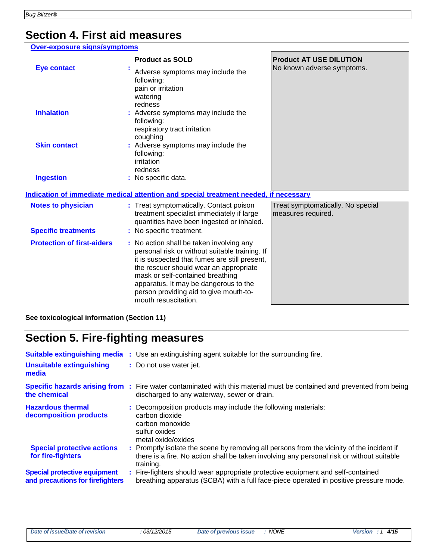### **Section 4. First aid measures**

#### **Over-exposure signs/symptoms**

|                                            | <b>Product as SOLD</b>                                                                                                                                                                                                                                                                                                               | <b>Product AT USE DILUTION</b>                          |
|--------------------------------------------|--------------------------------------------------------------------------------------------------------------------------------------------------------------------------------------------------------------------------------------------------------------------------------------------------------------------------------------|---------------------------------------------------------|
| <b>Eye contact</b>                         | Adverse symptoms may include the<br>following:<br>pain or irritation<br>watering<br>redness                                                                                                                                                                                                                                          | No known adverse symptoms.                              |
| <b>Inhalation</b>                          | : Adverse symptoms may include the<br>following:<br>respiratory tract irritation<br>coughing                                                                                                                                                                                                                                         |                                                         |
| <b>Skin contact</b>                        | : Adverse symptoms may include the<br>following:<br>irritation<br>redness                                                                                                                                                                                                                                                            |                                                         |
| <b>Ingestion</b>                           | : No specific data.                                                                                                                                                                                                                                                                                                                  |                                                         |
|                                            | Indication of immediate medical attention and special treatment needed, if necessary                                                                                                                                                                                                                                                 |                                                         |
| <b>Notes to physician</b>                  | : Treat symptomatically. Contact poison<br>treatment specialist immediately if large<br>quantities have been ingested or inhaled.                                                                                                                                                                                                    | Treat symptomatically. No special<br>measures required. |
| <b>Specific treatments</b>                 | : No specific treatment.                                                                                                                                                                                                                                                                                                             |                                                         |
| <b>Protection of first-aiders</b>          | : No action shall be taken involving any<br>personal risk or without suitable training. If<br>it is suspected that fumes are still present,<br>the rescuer should wear an appropriate<br>mask or self-contained breathing<br>apparatus. It may be dangerous to the<br>person providing aid to give mouth-to-<br>mouth resuscitation. |                                                         |
| See toxicological information (Section 11) |                                                                                                                                                                                                                                                                                                                                      |                                                         |

# **Section 5. Fire-fighting measures**

| <b>Suitable extinguishing media</b><br><b>Unsuitable extinguishing</b><br>media | : Use an extinguishing agent suitable for the surrounding fire.<br>: Do not use water jet.                                                                                                          |
|---------------------------------------------------------------------------------|-----------------------------------------------------------------------------------------------------------------------------------------------------------------------------------------------------|
| the chemical                                                                    | <b>Specific hazards arising from:</b> Fire water contaminated with this material must be contained and prevented from being<br>discharged to any waterway, sewer or drain.                          |
| <b>Hazardous thermal</b><br>decomposition products                              | : Decomposition products may include the following materials:<br>carbon dioxide<br>carbon monoxide<br>sulfur oxides<br>metal oxide/oxides                                                           |
| <b>Special protective actions</b><br>for fire-fighters                          | : Promptly isolate the scene by removing all persons from the vicinity of the incident if<br>there is a fire. No action shall be taken involving any personal risk or without suitable<br>training. |
| <b>Special protective equipment</b><br>and precautions for firefighters         | : Fire-fighters should wear appropriate protective equipment and self-contained<br>breathing apparatus (SCBA) with a full face-piece operated in positive pressure mode.                            |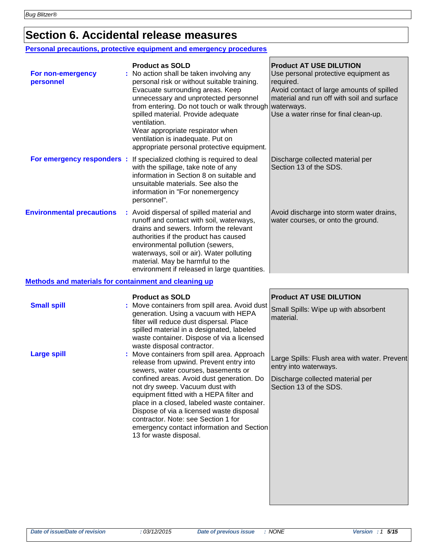## **Section 6. Accidental release measures**

#### **Personal precautions, protective equipment and emergency procedures**

| For non-emergency<br>personnel                               | <b>Product as SOLD</b><br>No action shall be taken involving any<br>personal risk or without suitable training.<br>Evacuate surrounding areas. Keep<br>unnecessary and unprotected personnel<br>from entering. Do not touch or walk through waterways.<br>spilled material. Provide adequate<br>ventilation.<br>Wear appropriate respirator when<br>ventilation is inadequate. Put on<br>appropriate personal protective equipment. | <b>Product AT USE DILUTION</b><br>Use personal protective equipment as<br>required.<br>Avoid contact of large amounts of spilled<br>material and run off with soil and surface<br>Use a water rinse for final clean-up. |
|--------------------------------------------------------------|-------------------------------------------------------------------------------------------------------------------------------------------------------------------------------------------------------------------------------------------------------------------------------------------------------------------------------------------------------------------------------------------------------------------------------------|-------------------------------------------------------------------------------------------------------------------------------------------------------------------------------------------------------------------------|
| For emergency responders :                                   | If specialized clothing is required to deal<br>with the spillage, take note of any<br>information in Section 8 on suitable and<br>unsuitable materials. See also the<br>information in "For nonemergency<br>personnel".                                                                                                                                                                                                             | Discharge collected material per<br>Section 13 of the SDS.                                                                                                                                                              |
| <b>Environmental precautions</b>                             | : Avoid dispersal of spilled material and<br>runoff and contact with soil, waterways,<br>drains and sewers. Inform the relevant<br>authorities if the product has caused<br>environmental pollution (sewers,<br>waterways, soil or air). Water polluting<br>material. May be harmful to the<br>environment if released in large quantities.                                                                                         | Avoid discharge into storm water drains,<br>water courses, or onto the ground.                                                                                                                                          |
| <b>Methods and materials for containment and cleaning up</b> |                                                                                                                                                                                                                                                                                                                                                                                                                                     |                                                                                                                                                                                                                         |
| <b>Small snill</b>                                           | <b>Product as SOLD</b><br>. Move containers from spill area. Avoid dust                                                                                                                                                                                                                                                                                                                                                             | <b>Product AT USE DILUTION</b>                                                                                                                                                                                          |

| <b>Small spill</b> | : Move containers from spill area. Avoid dust Small Spills: Wipe up with absorbent<br>generation. Using a vacuum with HEPA<br>filter will reduce dust dispersal. Place<br>spilled material in a designated, labeled<br>waste container. Dispose of via a licensed<br>waste disposal contractor.                                                                                                                                                                   | material.                                                                                                                           |
|--------------------|-------------------------------------------------------------------------------------------------------------------------------------------------------------------------------------------------------------------------------------------------------------------------------------------------------------------------------------------------------------------------------------------------------------------------------------------------------------------|-------------------------------------------------------------------------------------------------------------------------------------|
| <b>Large spill</b> | : Move containers from spill area. Approach<br>release from upwind. Prevent entry into<br>sewers, water courses, basements or<br>confined areas. Avoid dust generation. Do<br>not dry sweep. Vacuum dust with<br>equipment fitted with a HEPA filter and<br>place in a closed, labeled waste container.<br>Dispose of via a licensed waste disposal<br>contractor. Note: see Section 1 for<br>emergency contact information and Section<br>13 for waste disposal. | Large Spills: Flush area with water. Prevent<br>entry into waterways.<br>Discharge collected material per<br>Section 13 of the SDS. |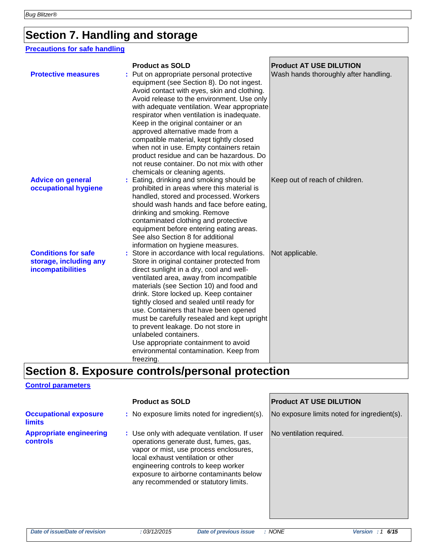### **Section 7. Handling and storage**

#### **Precautions for safe handling**

| <b>Protective measures</b>                                                | <b>Product as SOLD</b><br>Put on appropriate personal protective<br>equipment (see Section 8). Do not ingest.<br>Avoid contact with eyes, skin and clothing.<br>Avoid release to the environment. Use only<br>with adequate ventilation. Wear appropriate<br>respirator when ventilation is inadequate.<br>Keep in the original container or an<br>approved alternative made from a<br>compatible material, kept tightly closed<br>when not in use. Empty containers retain<br>product residue and can be hazardous. Do<br>not reuse container. Do not mix with other<br>chemicals or cleaning agents. | <b>Product AT USE DILUTION</b><br>Wash hands thoroughly after handling. |
|---------------------------------------------------------------------------|--------------------------------------------------------------------------------------------------------------------------------------------------------------------------------------------------------------------------------------------------------------------------------------------------------------------------------------------------------------------------------------------------------------------------------------------------------------------------------------------------------------------------------------------------------------------------------------------------------|-------------------------------------------------------------------------|
| <b>Advice on general</b><br>occupational hygiene                          | Eating, drinking and smoking should be<br>prohibited in areas where this material is<br>handled, stored and processed. Workers<br>should wash hands and face before eating,<br>drinking and smoking. Remove<br>contaminated clothing and protective<br>equipment before entering eating areas.<br>See also Section 8 for additional<br>information on hygiene measures.                                                                                                                                                                                                                                | Keep out of reach of children.                                          |
| <b>Conditions for safe</b><br>storage, including any<br>incompatibilities | Store in accordance with local regulations.<br>Store in original container protected from<br>direct sunlight in a dry, cool and well-<br>ventilated area, away from incompatible<br>materials (see Section 10) and food and<br>drink. Store locked up. Keep container<br>tightly closed and sealed until ready for<br>use. Containers that have been opened<br>must be carefully resealed and kept upright<br>to prevent leakage. Do not store in<br>unlabeled containers.<br>Use appropriate containment to avoid<br>environmental contamination. Keep from<br>freezing.                              | Not applicable.                                                         |

# **Section 8. Exposure controls/personal protection**

#### **Control parameters**

|                                                   | <b>Product as SOLD</b>                                                                                                                                                                                                                                                                           | <b>Product AT USE DILUTION</b>              |
|---------------------------------------------------|--------------------------------------------------------------------------------------------------------------------------------------------------------------------------------------------------------------------------------------------------------------------------------------------------|---------------------------------------------|
| <b>Occupational exposure</b><br><b>limits</b>     | : No exposure limits noted for ingredient(s).                                                                                                                                                                                                                                                    | No exposure limits noted for ingredient(s). |
| <b>Appropriate engineering</b><br><b>controls</b> | : Use only with adequate ventilation. If user<br>operations generate dust, fumes, gas,<br>vapor or mist, use process enclosures,<br>local exhaust ventilation or other<br>engineering controls to keep worker<br>exposure to airborne contaminants below<br>any recommended or statutory limits. | No ventilation required.                    |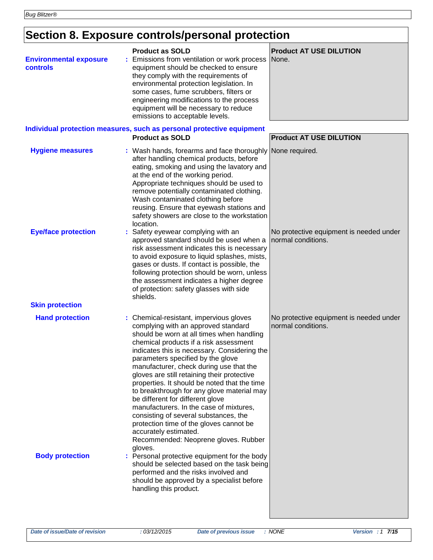# **Section 8. Exposure controls/personal protection**

| <b>Environmental exposure</b><br><b>controls</b> | <b>Product as SOLD</b><br>Emissions from ventilation or work process<br>equipment should be checked to ensure<br>they comply with the requirements of<br>environmental protection legislation. In<br>some cases, fume scrubbers, filters or<br>engineering modifications to the process<br>equipment will be necessary to reduce<br>emissions to acceptable levels.<br>Individual protection measures, such as personal protective equipment                                                                                                                                                                                                                                                      | <b>Product AT USE DILUTION</b><br>None.                       |
|--------------------------------------------------|---------------------------------------------------------------------------------------------------------------------------------------------------------------------------------------------------------------------------------------------------------------------------------------------------------------------------------------------------------------------------------------------------------------------------------------------------------------------------------------------------------------------------------------------------------------------------------------------------------------------------------------------------------------------------------------------------|---------------------------------------------------------------|
|                                                  | <b>Product as SOLD</b>                                                                                                                                                                                                                                                                                                                                                                                                                                                                                                                                                                                                                                                                            | <b>Product AT USE DILUTION</b>                                |
| <b>Hygiene measures</b>                          | : Wash hands, forearms and face thoroughly None required.<br>after handling chemical products, before<br>eating, smoking and using the lavatory and<br>at the end of the working period.<br>Appropriate techniques should be used to<br>remove potentially contaminated clothing.<br>Wash contaminated clothing before<br>reusing. Ensure that eyewash stations and<br>safety showers are close to the workstation<br>location.                                                                                                                                                                                                                                                                   |                                                               |
| <b>Eye/face protection</b>                       | : Safety eyewear complying with an<br>approved standard should be used when a<br>risk assessment indicates this is necessary<br>to avoid exposure to liquid splashes, mists,<br>gases or dusts. If contact is possible, the<br>following protection should be worn, unless<br>the assessment indicates a higher degree<br>of protection: safety glasses with side<br>shields.                                                                                                                                                                                                                                                                                                                     | No protective equipment is needed under<br>normal conditions. |
| <b>Skin protection</b>                           |                                                                                                                                                                                                                                                                                                                                                                                                                                                                                                                                                                                                                                                                                                   |                                                               |
| <b>Hand protection</b>                           | : Chemical-resistant, impervious gloves<br>complying with an approved standard<br>should be worn at all times when handling<br>chemical products if a risk assessment<br>indicates this is necessary. Considering the<br>parameters specified by the glove<br>manufacturer, check during use that the<br>gloves are still retaining their protective<br>properties. It should be noted that the time<br>to breakthrough for any glove material may<br>be different for different glove<br>manufacturers. In the case of mixtures,<br>consisting of several substances, the<br>protection time of the gloves cannot be<br>accurately estimated.<br>Recommended: Neoprene gloves. Rubber<br>gloves. | No protective equipment is needed under<br>normal conditions. |
| <b>Body protection</b>                           | : Personal protective equipment for the body<br>should be selected based on the task being<br>performed and the risks involved and<br>should be approved by a specialist before<br>handling this product.                                                                                                                                                                                                                                                                                                                                                                                                                                                                                         |                                                               |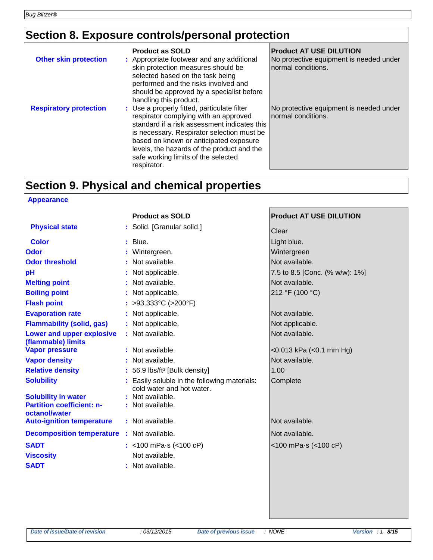# **Section 8. Exposure controls/personal protection**

| <b>Other skin protection</b>  | <b>Product as SOLD</b><br>: Appropriate footwear and any additional<br>skin protection measures should be<br>selected based on the task being<br>performed and the risks involved and<br>should be approved by a specialist before<br>handling this product.                                                                     | <b>Product AT USE DILUTION</b><br>No protective equipment is needed under<br>normal conditions. |
|-------------------------------|----------------------------------------------------------------------------------------------------------------------------------------------------------------------------------------------------------------------------------------------------------------------------------------------------------------------------------|-------------------------------------------------------------------------------------------------|
| <b>Respiratory protection</b> | : Use a properly fitted, particulate filter<br>respirator complying with an approved<br>standard if a risk assessment indicates this<br>is necessary. Respirator selection must be<br>based on known or anticipated exposure<br>levels, the hazards of the product and the<br>safe working limits of the selected<br>respirator. | No protective equipment is needed under<br>normal conditions.                                   |

### **Section 9. Physical and chemical properties**

#### **Appearance**

|                                                                | <b>Product as SOLD</b>                                                    | <b>Product AT USE DILUTION</b>      |
|----------------------------------------------------------------|---------------------------------------------------------------------------|-------------------------------------|
| <b>Physical state</b>                                          | : Solid. [Granular solid.]                                                | Clear                               |
| <b>Color</b>                                                   | $:$ Blue.                                                                 | Light blue.                         |
| <b>Odor</b>                                                    | : Wintergreen.                                                            | Wintergreen                         |
| <b>Odor threshold</b>                                          | : Not available.                                                          | Not available.                      |
| pH                                                             | : Not applicable.                                                         | 7.5 to 8.5 [Conc. (% w/w): 1%]      |
| <b>Melting point</b>                                           | : Not available.                                                          | Not available.                      |
| <b>Boiling point</b>                                           | : Not applicable.                                                         | 212 °F (100 °C)                     |
| <b>Flash point</b>                                             | : >93.333°C (>200°F)                                                      |                                     |
| <b>Evaporation rate</b>                                        | : Not applicable.                                                         | Not available.                      |
| <b>Flammability (solid, gas)</b>                               | : Not applicable.                                                         | Not applicable.                     |
| <b>Lower and upper explosive</b><br>(flammable) limits         | : Not available.                                                          | Not available.                      |
| <b>Vapor pressure</b>                                          | : Not available.                                                          | $<$ 0.013 kPa ( $<$ 0.1 mm Hg)      |
| <b>Vapor density</b>                                           | : Not available.                                                          | Not available.                      |
| <b>Relative density</b>                                        | : 56.9 lbs/ft <sup>3</sup> [Bulk density]                                 | 1.00                                |
| <b>Solubility</b>                                              | : Easily soluble in the following materials:<br>cold water and hot water. | Complete                            |
| <b>Solubility in water</b><br><b>Partition coefficient: n-</b> | : Not available.<br>: Not available.                                      |                                     |
| octanol/water                                                  |                                                                           |                                     |
| <b>Auto-ignition temperature</b>                               | : Not available.                                                          | Not available.                      |
| <b>Decomposition temperature : Not available.</b>              |                                                                           | Not available.                      |
| <b>SADT</b>                                                    | : <100 mPa $\cdot$ s (<100 cP)                                            | $<$ 100 mPa $\cdot$ s ( $<$ 100 cP) |
| <b>Viscosity</b>                                               | Not available.                                                            |                                     |
| <b>SADT</b>                                                    | : Not available.                                                          |                                     |
|                                                                |                                                                           |                                     |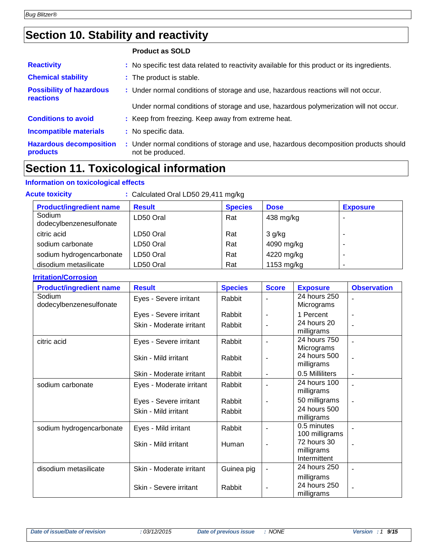### **Section 10. Stability and reactivity**

|                                              | <b>Product as SOLD</b>                                                                                    |
|----------------------------------------------|-----------------------------------------------------------------------------------------------------------|
| <b>Reactivity</b>                            | : No specific test data related to reactivity available for this product or its ingredients.              |
| <b>Chemical stability</b>                    | : The product is stable.                                                                                  |
| <b>Possibility of hazardous</b><br>reactions | : Under normal conditions of storage and use, hazardous reactions will not occur.                         |
|                                              | Under normal conditions of storage and use, hazardous polymerization will not occur.                      |
| <b>Conditions to avoid</b>                   | : Keep from freezing. Keep away from extreme heat.                                                        |
| <b>Incompatible materials</b>                | : No specific data.                                                                                       |
| <b>Hazardous decomposition</b><br>products   | : Under normal conditions of storage and use, hazardous decomposition products should<br>not be produced. |

### **Section 11. Toxicological information**

#### **Information on toxicological effects**

| : Calculated Oral LD50 29,411 mg/kg<br><b>Acute toxicity</b>                                        |           |     |            |   |  |  |
|-----------------------------------------------------------------------------------------------------|-----------|-----|------------|---|--|--|
| <b>Product/ingredient name</b><br><b>Result</b><br><b>Species</b><br><b>Dose</b><br><b>Exposure</b> |           |     |            |   |  |  |
| Sodium<br>dodecylbenzenesulfonate                                                                   | LD50 Oral | Rat | 438 mg/kg  | - |  |  |
| citric acid                                                                                         | LD50 Oral | Rat | 3 g/kg     | - |  |  |
| sodium carbonate                                                                                    | LD50 Oral | Rat | 4090 mg/kg | - |  |  |
| sodium hydrogencarbonate                                                                            | LD50 Oral | Rat | 4220 mg/kg |   |  |  |
| disodium metasilicate                                                                               | LD50 Oral | Rat | 1153 mg/kg |   |  |  |

#### **Irritation/Corrosion**

| <b>Product/ingredient name</b>    | <b>Result</b>            | <b>Species</b> | <b>Score</b>   | <b>Exposure</b>               | <b>Observation</b> |
|-----------------------------------|--------------------------|----------------|----------------|-------------------------------|--------------------|
| Sodium<br>dodecylbenzenesulfonate | Eyes - Severe irritant   | Rabbit         |                | 24 hours 250<br>Micrograms    |                    |
|                                   | Eyes - Severe irritant   | Rabbit         |                | 1 Percent                     |                    |
|                                   | Skin - Moderate irritant | Rabbit         |                | 24 hours 20<br>milligrams     |                    |
| citric acid                       | Eyes - Severe irritant   | Rabbit         |                | 24 hours 750<br>Micrograms    |                    |
|                                   | Skin - Mild irritant     | Rabbit         |                | 24 hours 500<br>milligrams    | $\blacksquare$     |
|                                   | Skin - Moderate irritant | Rabbit         | -              | 0.5 Milliliters               | $\blacksquare$     |
| sodium carbonate                  | Eyes - Moderate irritant | Rabbit         |                | 24 hours 100<br>milligrams    |                    |
|                                   | Eyes - Severe irritant   | Rabbit         | $\blacksquare$ | 50 milligrams                 |                    |
|                                   | Skin - Mild irritant     | Rabbit         |                | 24 hours 500<br>milligrams    |                    |
| sodium hydrogencarbonate          | Eyes - Mild irritant     | Rabbit         |                | 0.5 minutes<br>100 milligrams |                    |
|                                   | Skin - Mild irritant     | Human          |                | 72 hours 30<br>milligrams     |                    |
|                                   |                          |                |                | Intermittent                  |                    |
| disodium metasilicate             | Skin - Moderate irritant | Guinea pig     |                | 24 hours 250                  |                    |
|                                   |                          |                |                | milligrams<br>24 hours 250    |                    |
|                                   | Skin - Severe irritant   | Rabbit         | $\blacksquare$ | milligrams                    | $\overline{a}$     |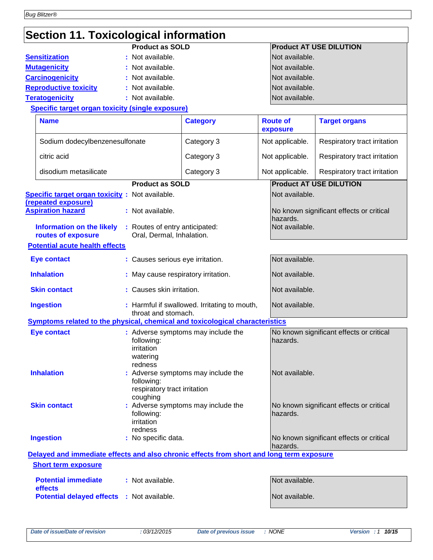| Section 11. Toxicological information                                                                                                                    |                                                                                                                |                                              |                             |                                          |
|----------------------------------------------------------------------------------------------------------------------------------------------------------|----------------------------------------------------------------------------------------------------------------|----------------------------------------------|-----------------------------|------------------------------------------|
|                                                                                                                                                          | <b>Product as SOLD</b>                                                                                         |                                              |                             | <b>Product AT USE DILUTION</b>           |
| <b>Sensitization</b>                                                                                                                                     | : Not available.                                                                                               |                                              | Not available.              |                                          |
| <b>Mutagenicity</b>                                                                                                                                      | : Not available.                                                                                               |                                              | Not available.              |                                          |
| <b>Carcinogenicity</b>                                                                                                                                   | : Not available.                                                                                               |                                              | Not available.              |                                          |
| <b>Reproductive toxicity</b><br>: Not available.                                                                                                         |                                                                                                                |                                              | Not available.              |                                          |
| <b>Teratogenicity</b>                                                                                                                                    | : Not available.                                                                                               |                                              | Not available.              |                                          |
| <b>Specific target organ toxicity (single exposure)</b>                                                                                                  |                                                                                                                |                                              |                             |                                          |
| <b>Name</b>                                                                                                                                              |                                                                                                                | <b>Category</b>                              | <b>Route of</b><br>exposure | <b>Target organs</b>                     |
| Sodium dodecylbenzenesulfonate                                                                                                                           |                                                                                                                | Category 3                                   | Not applicable.             | Respiratory tract irritation             |
| citric acid                                                                                                                                              |                                                                                                                | Category 3                                   | Not applicable.             | Respiratory tract irritation             |
| disodium metasilicate                                                                                                                                    |                                                                                                                | Category 3                                   | Not applicable.             | Respiratory tract irritation             |
|                                                                                                                                                          | <b>Product as SOLD</b>                                                                                         |                                              |                             | <b>Product AT USE DILUTION</b>           |
| <b>Specific target organ toxicity:</b> Not available.<br>(repeated exposure)                                                                             |                                                                                                                |                                              | Not available.              |                                          |
| <b>Aspiration hazard</b>                                                                                                                                 | : Not available.                                                                                               |                                              | hazards.                    | No known significant effects or critical |
| <b>Information on the likely</b><br>routes of exposure                                                                                                   | : Routes of entry anticipated:<br>Oral, Dermal, Inhalation.                                                    | Not available.                               |                             |                                          |
| <b>Potential acute health effects</b>                                                                                                                    |                                                                                                                |                                              |                             |                                          |
| <b>Eye contact</b>                                                                                                                                       | : Causes serious eye irritation.                                                                               |                                              | Not available.              |                                          |
| <b>Inhalation</b><br>: May cause respiratory irritation.                                                                                                 |                                                                                                                |                                              | Not available.              |                                          |
| <b>Skin contact</b>                                                                                                                                      | : Causes skin irritation.                                                                                      |                                              | Not available.              |                                          |
| <b>Ingestion</b>                                                                                                                                         | throat and stomach.                                                                                            | : Harmful if swallowed. Irritating to mouth, | Not available.              |                                          |
| Symptoms related to the physical, chemical and toxicological characteristics                                                                             |                                                                                                                |                                              |                             |                                          |
| <b>Eye contact</b>                                                                                                                                       | following:<br>irritation<br>watering<br>redness                                                                | : Adverse symptoms may include the           | hazards.                    | No known significant effects or critical |
| <b>Inhalation</b>                                                                                                                                        | Not available.<br>: Adverse symptoms may include the<br>following:<br>respiratory tract irritation<br>coughing |                                              |                             |                                          |
| : Adverse symptoms may include the<br><b>Skin contact</b><br>No known significant effects or critical<br>hazards.<br>following:<br>irritation<br>redness |                                                                                                                |                                              |                             |                                          |
| <b>Ingestion</b><br>: No specific data.                                                                                                                  |                                                                                                                |                                              | hazards.                    | No known significant effects or critical |
| Delayed and immediate effects and also chronic effects from short and long term exposure<br><b>Short term exposure</b>                                   |                                                                                                                |                                              |                             |                                          |
| <b>Potential immediate</b><br>effects                                                                                                                    | : Not available.                                                                                               |                                              | Not available.              |                                          |
| <b>Potential delayed effects : Not available.</b>                                                                                                        |                                                                                                                |                                              | Not available.              |                                          |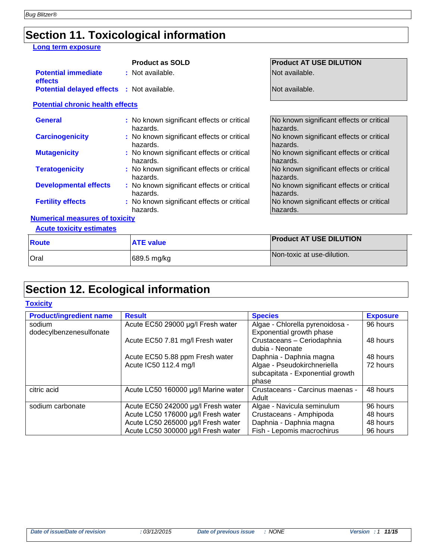# **Section 11. Toxicological information**

#### **Long term exposure**

|                                                   | <b>Product as SOLD</b>                                 | <b>Product AT USE DILUTION</b>                       |  |  |
|---------------------------------------------------|--------------------------------------------------------|------------------------------------------------------|--|--|
| <b>Potential immediate</b><br>effects             | : Not available.                                       | Not available.                                       |  |  |
| <b>Potential delayed effects : Not available.</b> |                                                        | Not available.                                       |  |  |
| <b>Potential chronic health effects</b>           |                                                        |                                                      |  |  |
| <b>General</b>                                    | : No known significant effects or critical<br>hazards. | No known significant effects or critical<br>hazards. |  |  |
| <b>Carcinogenicity</b>                            | : No known significant effects or critical<br>hazards. | No known significant effects or critical<br>hazards. |  |  |
| <b>Mutagenicity</b>                               | : No known significant effects or critical<br>hazards. | No known significant effects or critical<br>hazards. |  |  |
| <b>Teratogenicity</b>                             | : No known significant effects or critical<br>hazards. | No known significant effects or critical<br>hazards. |  |  |
| <b>Developmental effects</b>                      | : No known significant effects or critical<br>hazards. | No known significant effects or critical<br>hazards. |  |  |
| <b>Fertility effects</b>                          | : No known significant effects or critical<br>hazards. | No known significant effects or critical<br>hazards. |  |  |

#### **Numerical measures of toxicity**

**Acute toxicity estimates**

| Route       | <b>ATE value</b> | <b>Product AT USE DILUTION</b> |
|-------------|------------------|--------------------------------|
| <b>Oral</b> | 689.5 mg/kg      | Non-toxic at use-dilution.     |

## **Section 12. Ecological information**

#### **Toxicity**

| <b>Product/ingredient name</b>    | <b>Result</b>                       | <b>Species</b>                                              | <b>Exposure</b> |
|-----------------------------------|-------------------------------------|-------------------------------------------------------------|-----------------|
| sodium<br>dodecylbenzenesulfonate | Acute EC50 29000 µg/l Fresh water   | Algae - Chlorella pyrenoidosa -<br>Exponential growth phase | 96 hours        |
|                                   | Acute EC50 7.81 mg/l Fresh water    | Crustaceans - Ceriodaphnia<br>dubia - Neonate               | 48 hours        |
|                                   | Acute EC50 5.88 ppm Fresh water     | Daphnia - Daphnia magna                                     | 48 hours        |
|                                   | Acute IC50 112.4 mg/l               | Algae - Pseudokirchneriella                                 | 72 hours        |
|                                   |                                     | subcapitata - Exponential growth                            |                 |
|                                   |                                     | phase                                                       |                 |
| citric acid                       | Acute LC50 160000 µg/l Marine water | Crustaceans - Carcinus maenas -                             | 48 hours        |
|                                   |                                     | Adult                                                       |                 |
| sodium carbonate                  | Acute EC50 242000 µg/l Fresh water  | Algae - Navicula seminulum                                  | 96 hours        |
|                                   | Acute LC50 176000 µg/l Fresh water  | Crustaceans - Amphipoda                                     | 48 hours        |
|                                   | Acute LC50 265000 µg/l Fresh water  | Daphnia - Daphnia magna                                     | 48 hours        |
|                                   | Acute LC50 300000 µg/l Fresh water  | Fish - Lepomis macrochirus                                  | 96 hours        |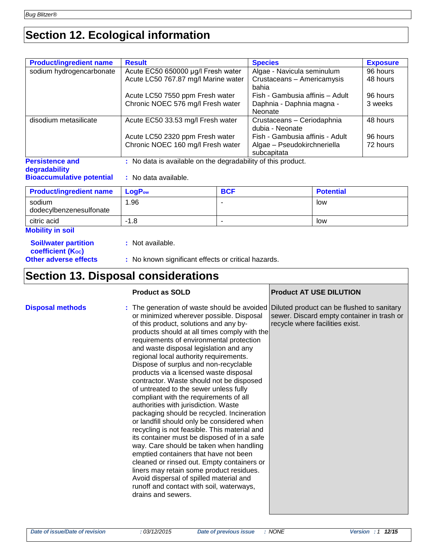# **Section 12. Ecological information**

| <b>Product/ingredient name</b>          | <b>Result</b>                                                | <b>Species</b>                                | <b>Exposure</b> |
|-----------------------------------------|--------------------------------------------------------------|-----------------------------------------------|-----------------|
| sodium hydrogencarbonate                | Acute EC50 650000 µg/l Fresh water                           | Algae - Navicula seminulum                    | 96 hours        |
|                                         | Acute LC50 767.87 mg/l Marine water                          | Crustaceans - Americamysis<br>bahia           | 48 hours        |
|                                         | Acute LC50 7550 ppm Fresh water                              | Fish - Gambusia affinis - Adult               | 96 hours        |
|                                         | Chronic NOEC 576 mg/l Fresh water                            | Daphnia - Daphnia magna -                     | 3 weeks         |
|                                         |                                                              | Neonate                                       |                 |
| disodium metasilicate                   | Acute EC50 33.53 mg/l Fresh water                            | Crustaceans - Ceriodaphnia<br>dubia - Neonate | 48 hours        |
|                                         | Acute LC50 2320 ppm Fresh water                              | Fish - Gambusia affinis - Adult               | 96 hours        |
|                                         | Chronic NOEC 160 mg/l Fresh water                            | Algae - Pseudokirchneriella<br>subcapitata    | 72 hours        |
| <b>Persistence and</b><br>degradability | : No data is available on the degradability of this product. |                                               |                 |

### **Bioaccumulative potential :** No data available.

| <b>Product/ingredient name</b>    | LogP <sub>ow</sub> | <b>BCF</b>               | <b>Potential</b> |
|-----------------------------------|--------------------|--------------------------|------------------|
| sodium<br>dodecylbenzenesulfonate | . 96               | -                        | low              |
| citric acid                       | $-1.8$             | $\overline{\phantom{a}}$ | low              |
| <b>Mobility in soil</b>           |                    |                          |                  |

| <b>Soil/water partition</b> |
|-----------------------------|
| <b>coefficient (Koc)</b>    |
| Other adverse effects       |

**:** Not available.

**Other adverse effects :** No known significant effects or critical hazards.

### **Section 13. Disposal considerations**

|                         | <b>Product as SOLD</b>                                                                                                                                                                                                                                                                                                                                                                                                                                                                                                                                                                                                                                                                                                                                                                                                                                                                                                                                                                                                                                                                                        | <b>Product AT USE DILUTION</b>                                                |
|-------------------------|---------------------------------------------------------------------------------------------------------------------------------------------------------------------------------------------------------------------------------------------------------------------------------------------------------------------------------------------------------------------------------------------------------------------------------------------------------------------------------------------------------------------------------------------------------------------------------------------------------------------------------------------------------------------------------------------------------------------------------------------------------------------------------------------------------------------------------------------------------------------------------------------------------------------------------------------------------------------------------------------------------------------------------------------------------------------------------------------------------------|-------------------------------------------------------------------------------|
| <b>Disposal methods</b> | : The generation of waste should be avoided Diluted product can be flushed to sanitary<br>or minimized wherever possible. Disposal<br>of this product, solutions and any by-<br>products should at all times comply with the<br>requirements of environmental protection<br>and waste disposal legislation and any<br>regional local authority requirements.<br>Dispose of surplus and non-recyclable<br>products via a licensed waste disposal<br>contractor. Waste should not be disposed<br>of untreated to the sewer unless fully<br>compliant with the requirements of all<br>authorities with jurisdiction. Waste<br>packaging should be recycled. Incineration<br>or landfill should only be considered when<br>recycling is not feasible. This material and<br>its container must be disposed of in a safe<br>way. Care should be taken when handling<br>emptied containers that have not been<br>cleaned or rinsed out. Empty containers or<br>liners may retain some product residues.<br>Avoid dispersal of spilled material and<br>runoff and contact with soil, waterways,<br>drains and sewers. | sewer. Discard empty container in trash or<br>recycle where facilities exist. |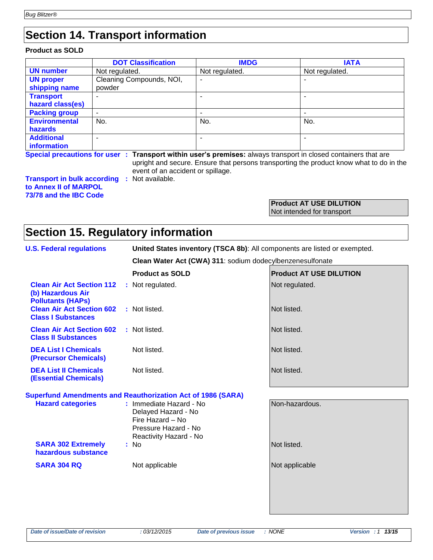### **Section 14. Transport information**

#### **Product as SOLD**

|                      | <b>DOT Classification</b> | <b>IMDG</b>                                                                                                     | <b>IATA</b>    |
|----------------------|---------------------------|-----------------------------------------------------------------------------------------------------------------|----------------|
| <b>UN number</b>     | Not regulated.            | Not regulated.                                                                                                  | Not regulated. |
| <b>UN proper</b>     | Cleaning Compounds, NOI,  | ۰                                                                                                               |                |
| shipping name        | powder                    |                                                                                                                 |                |
| <b>Transport</b>     |                           |                                                                                                                 |                |
| hazard class(es)     |                           |                                                                                                                 |                |
| <b>Packing group</b> |                           |                                                                                                                 |                |
| <b>Environmental</b> | No.                       | No.                                                                                                             | No.            |
| <b>hazards</b>       |                           |                                                                                                                 |                |
| <b>Additional</b>    |                           |                                                                                                                 |                |
| information          |                           |                                                                                                                 |                |
|                      |                           | Special procautions for user : Transport within user's promises: always transport in closed containers that are |                |

**Special precautions for user : Transport within user's premises:** always transport in closed containers that are upright and secure. Ensure that persons transporting the product know what to do in the event of an accident or spillage.

**Transport in bulk according :** Not available. **to Annex II of MARPOL 73/78 and the IBC Code**

#### **Product AT USE DILUTION** Not intended for transport

### **Section 15. Regulatory information**

| <b>U.S. Federal regulations</b>                                                   | United States inventory (TSCA 8b): All components are listed or exempted.                                            |                                |  |  |  |
|-----------------------------------------------------------------------------------|----------------------------------------------------------------------------------------------------------------------|--------------------------------|--|--|--|
|                                                                                   | Clean Water Act (CWA) 311: sodium dodecylbenzenesulfonate                                                            |                                |  |  |  |
|                                                                                   | <b>Product as SOLD</b>                                                                                               | <b>Product AT USE DILUTION</b> |  |  |  |
| <b>Clean Air Act Section 112</b><br>(b) Hazardous Air<br><b>Pollutants (HAPs)</b> | : Not regulated.                                                                                                     | Not regulated.                 |  |  |  |
| <b>Clean Air Act Section 602</b><br><b>Class I Substances</b>                     | : Not listed.                                                                                                        | Not listed.                    |  |  |  |
| <b>Clean Air Act Section 602</b><br><b>Class II Substances</b>                    | : Not listed.                                                                                                        | Not listed.                    |  |  |  |
| <b>DEA List I Chemicals</b><br><b>(Precursor Chemicals)</b>                       | Not listed.                                                                                                          | Not listed.                    |  |  |  |
| <b>DEA List II Chemicals</b><br><b>(Essential Chemicals)</b>                      | Not listed.                                                                                                          | Not listed.                    |  |  |  |
|                                                                                   | <b>Superfund Amendments and Reauthorization Act of 1986 (SARA)</b>                                                   |                                |  |  |  |
| <b>Hazard categories</b>                                                          | : Immediate Hazard - No<br>Delayed Hazard - No<br>Fire Hazard - No<br>Pressure Hazard - No<br>Reactivity Hazard - No | Non-hazardous.                 |  |  |  |
| <b>SARA 302 Extremely</b><br>hazardous substance                                  | : No                                                                                                                 | Not listed.                    |  |  |  |
| <b>SARA 304 RQ</b>                                                                | Not applicable                                                                                                       | Not applicable                 |  |  |  |
|                                                                                   |                                                                                                                      |                                |  |  |  |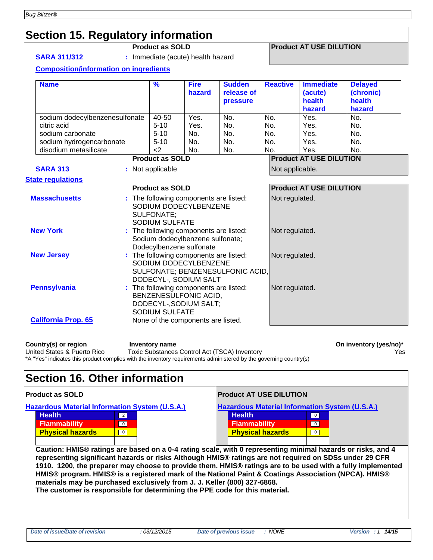### **Section 15. Regulatory information**

**SARA 311/312 :** Immediate (acute) health hazard

#### **Product as SOLD Product AT USE DILUTION**

#### **Composition/information on ingredients**

| <b>Name</b>                    |  | $\frac{9}{6}$                              | <b>Fire</b><br>hazard                                                                     | <b>Sudden</b><br>release of<br><b>pressure</b> | <b>Reactive</b> | <b>Immediate</b><br>(acute)<br>health<br>hazard | <b>Delayed</b><br>(chronic)<br>health<br>hazard |  |
|--------------------------------|--|--------------------------------------------|-------------------------------------------------------------------------------------------|------------------------------------------------|-----------------|-------------------------------------------------|-------------------------------------------------|--|
| sodium dodecylbenzenesulfonate |  | 40-50                                      | Yes.                                                                                      | No.                                            | No.             | Yes.                                            | No.                                             |  |
| citric acid                    |  | $5 - 10$                                   | Yes.                                                                                      | No.                                            | No.             | Yes.                                            | No.                                             |  |
| sodium carbonate               |  | $5 - 10$                                   | No.                                                                                       | No.                                            | No.             | Yes.                                            | No.                                             |  |
| sodium hydrogencarbonate       |  | $5 - 10$                                   | No.                                                                                       | No.                                            | No.             | Yes.                                            | No.                                             |  |
| disodium metasilicate          |  | <                                          | No.                                                                                       | No.                                            | No.             | Yes.                                            | No.                                             |  |
|                                |  | <b>Product as SOLD</b>                     |                                                                                           |                                                |                 | <b>Product AT USE DILUTION</b>                  |                                                 |  |
| <b>SARA 313</b>                |  | : Not applicable                           |                                                                                           |                                                | Not applicable. |                                                 |                                                 |  |
| <b>State regulations</b>       |  |                                            |                                                                                           |                                                |                 |                                                 |                                                 |  |
|                                |  | <b>Product as SOLD</b>                     |                                                                                           |                                                |                 | <b>Product AT USE DILUTION</b>                  |                                                 |  |
| <b>Massachusetts</b>           |  | <b>SULFONATE:</b><br><b>SODIUM SULFATE</b> | : The following components are listed:<br>SODIUM DODECYLBENZENE                           |                                                | Not regulated.  |                                                 |                                                 |  |
| <b>New York</b>                |  | Dodecylbenzene sulfonate                   | : The following components are listed:<br>Sodium dodecylbenzene sulfonate;                |                                                | Not regulated.  |                                                 |                                                 |  |
| <b>New Jersey</b>              |  |                                            | : The following components are listed:<br>SODIUM DODECYLBENZENE<br>DODECYL-, SODIUM SALT  | SULFONATE; BENZENESULFONIC ACID,               | Not regulated.  |                                                 |                                                 |  |
| <b>Pennsylvania</b>            |  | <b>SODIUM SULFATE</b>                      | : The following components are listed:<br>BENZENESULFONIC ACID,<br>DODECYL-, SODIUM SALT; |                                                | Not regulated.  |                                                 |                                                 |  |
| <b>California Prop. 65</b>     |  |                                            | None of the components are listed.                                                        |                                                |                 |                                                 |                                                 |  |

Country(s) or region **Inventory name** Inventory name **Country (yes/no)\*** On inventory (yes/no)\* United States & Puerto Rico Toxic Substances Control Act (TSCA) Inventory Yes \*A "Yes" indicates this product complies with the inventory requirements administered by the governing country(s)

### **Section 16. Other information**

| <b>Product as SOLD</b>                                                                                                                                                                                                                                                                                                           | <b>Product AT USE DILUTION</b>                                                                                                                                                 |  |  |  |
|----------------------------------------------------------------------------------------------------------------------------------------------------------------------------------------------------------------------------------------------------------------------------------------------------------------------------------|--------------------------------------------------------------------------------------------------------------------------------------------------------------------------------|--|--|--|
| <b>Hazardous Material Information System (U.S.A.)</b><br><b>Health</b><br>$\overline{2}$<br><b>Flammability</b><br>$\overline{0}$<br><b>Physical hazards</b><br>$\overline{0}$                                                                                                                                                   | <b>Hazardous Material Information System (U.S.A.)</b><br><b>Health</b><br>$\overline{0}$<br><b>Flammability</b><br>$\overline{0}$<br><b>Physical hazards</b><br>$\overline{0}$ |  |  |  |
| Caution: HMIS® ratings are based on a 0-4 rating scale, with 0 representing minimal hazards or risks, and 4<br>representing significant hazards or risks Although HMIS® ratings are not required on SDSs under 29 CFR<br>1910 1200 the preparer may choose to provide them HMIS® ratings are to be used with a fully implemented |                                                                                                                                                                                |  |  |  |

**1910. 1200, the preparer may choose to provide them. HMIS® ratings are to be used with a fully implemented HMIS® program. HMIS® is a registered mark of the National Paint & Coatings Association (NPCA). HMIS® materials may be purchased exclusively from J. J. Keller (800) 327-6868.**

**The customer is responsible for determining the PPE code for this material.**